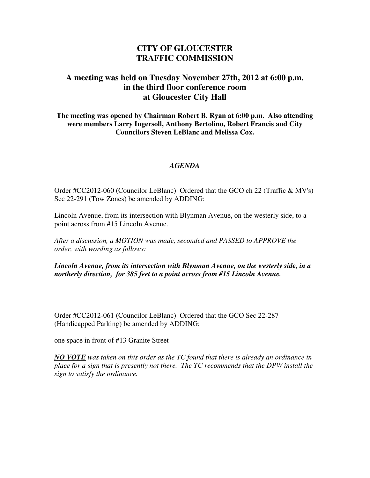## **CITY OF GLOUCESTER TRAFFIC COMMISSION**

## **A meeting was held on Tuesday November 27th, 2012 at 6:00 p.m. in the third floor conference room at Gloucester City Hall**

**The meeting was opened by Chairman Robert B. Ryan at 6:00 p.m. Also attending were members Larry Ingersoll, Anthony Bertolino, Robert Francis and City Councilors Steven LeBlanc and Melissa Cox.** 

## *AGENDA*

Order #CC2012-060 (Councilor LeBlanc) Ordered that the GCO ch 22 (Traffic & MV's) Sec 22-291 (Tow Zones) be amended by ADDING:

Lincoln Avenue, from its intersection with Blynman Avenue, on the westerly side, to a point across from #15 Lincoln Avenue.

*After a discussion, a MOTION was made, seconded and PASSED to APPROVE the order, with wording as follows:* 

*Lincoln Avenue, from its intersection with Blynman Avenue, on the westerly side, in a northerly direction, for 385 feet to a point across from #15 Lincoln Avenue.* 

Order #CC2012-061 (Councilor LeBlanc) Ordered that the GCO Sec 22-287 (Handicapped Parking) be amended by ADDING:

one space in front of #13 Granite Street

*NO VOTE was taken on this order as the TC found that there is already an ordinance in place for a sign that is presently not there. The TC recommends that the DPW install the sign to satisfy the ordinance.*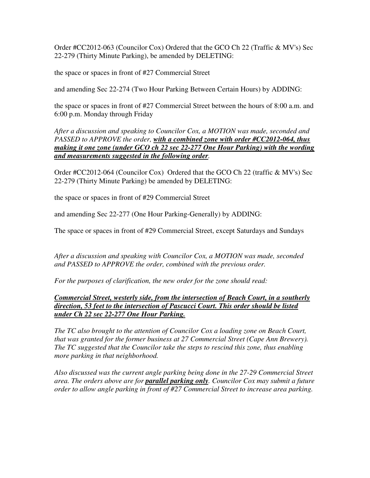Order #CC2012-063 (Councilor Cox) Ordered that the GCO Ch 22 (Traffic & MV's) Sec 22-279 (Thirty Minute Parking), be amended by DELETING:

the space or spaces in front of #27 Commercial Street

and amending Sec 22-274 (Two Hour Parking Between Certain Hours) by ADDING:

the space or spaces in front of #27 Commercial Street between the hours of 8:00 a.m. and 6:00 p.m. Monday through Friday

*After a discussion and speaking to Councilor Cox, a MOTION was made, seconded and PASSED to APPROVE the order, with a combined zone with order #CC2012-064, thus making it one zone (under GCO ch 22 sec 22-277 One Hour Parking) with the wording and measurements suggested in the following order.* 

Order #CC2012-064 (Councilor Cox) Ordered that the GCO Ch 22 (traffic & MV's) Sec 22-279 (Thirty Minute Parking) be amended by DELETING:

the space or spaces in front of #29 Commercial Street

and amending Sec 22-277 (One Hour Parking-Generally) by ADDING:

The space or spaces in front of #29 Commercial Street, except Saturdays and Sundays

*After a discussion and speaking with Councilor Cox, a MOTION was made, seconded and PASSED to APPROVE the order, combined with the previous order.* 

*For the purposes of clarification, the new order for the zone should read:* 

*Commercial Street, westerly side, from the intersection of Beach Court, in a southerly direction, 53 feet to the intersection of Pascucci Court. This order should be listed under Ch 22 sec 22-277 One Hour Parking.*

*The TC also brought to the attention of Councilor Cox a loading zone on Beach Court, that was granted for the former business at 27 Commercial Street (Cape Ann Brewery). The TC suggested that the Councilor take the steps to rescind this zone, thus enabling more parking in that neighborhood.* 

*Also discussed was the current angle parking being done in the 27-29 Commercial Street area. The orders above are for parallel parking only. Councilor Cox may submit a future order to allow angle parking in front of #27 Commercial Street to increase area parking.*